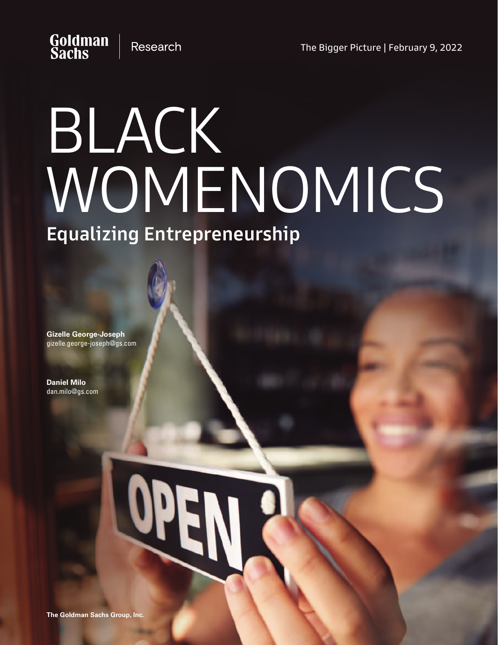# Goldman<br>Sachs **Research**

# BLACK WOMENOMICS Equalizing Entrepreneurship

**Gizelle George-Joseph** gizelle.george-joseph@gs.com

**Daniel Milo** dan.milo@gs.com

# **OPI**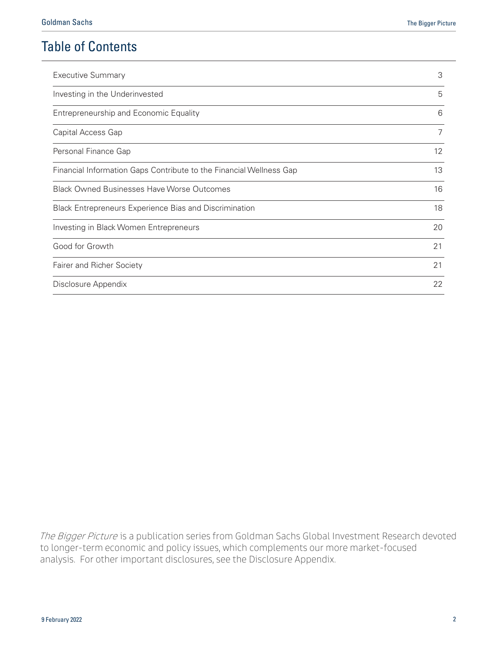# Table of Contents

| <b>Executive Summary</b>                                            | 3                 |  |
|---------------------------------------------------------------------|-------------------|--|
| Investing in the Underinvested                                      | 5                 |  |
| Entrepreneurship and Economic Equality                              | 6                 |  |
| Capital Access Gap                                                  | 7                 |  |
| Personal Finance Gap                                                | $12 \overline{ }$ |  |
| Financial Information Gaps Contribute to the Financial Wellness Gap | 13                |  |
| <b>Black Owned Businesses Have Worse Outcomes</b>                   | 16                |  |
| Black Entrepreneurs Experience Bias and Discrimination              | 18                |  |
| Investing in Black Women Entrepreneurs                              | 20                |  |
| Good for Growth                                                     | 21                |  |
| Fairer and Richer Society                                           | 21                |  |
| Disclosure Appendix                                                 | 22                |  |

The Bigger Picture is a publication series from Goldman Sachs Global Investment Research devoted to longer-term economic and policy issues, which complements our more market-focused analysis. For other important disclosures, see the Disclosure Appendix.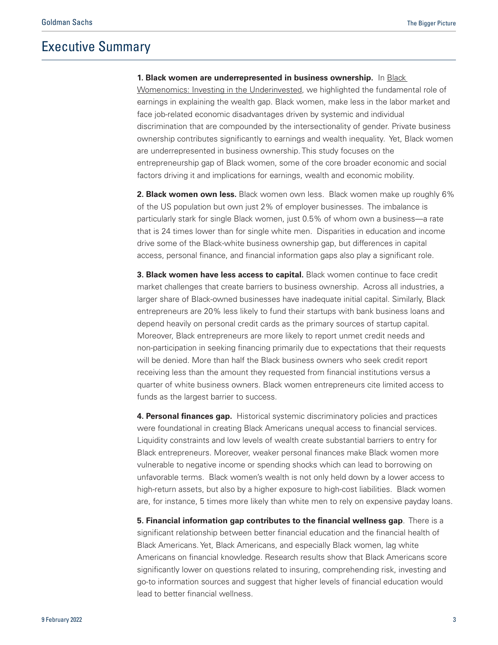# <span id="page-2-0"></span>Executive Summary

**1. Black women are underrepresented in business ownership.** In [Black](https://www.goldmansachs.com/insights/pages/black-womenomics-f/black-womenomics-report.pdf) [Womenomics: Investing in the Underinvested,](https://www.goldmansachs.com/insights/pages/black-womenomics-f/black-womenomics-report.pdf) we highlighted the fundamental role of earnings in explaining the wealth gap. Black women, make less in the labor market and face job-related economic disadvantages driven by systemic and individual discrimination that are compounded by the intersectionality of gender. Private business ownership contributes significantly to earnings and wealth inequality. Yet, Black women are underrepresented in business ownership. This study focuses on the entrepreneurship gap of Black women, some of the core broader economic and social factors driving it and implications for earnings, wealth and economic mobility.

**2. Black women own less.** Black women own less. Black women make up roughly 6% of the US population but own just 2% of employer businesses. The imbalance is particularly stark for single Black women, just 0.5% of whom own a business—a rate that is 24 times lower than for single white men. Disparities in education and income drive some of the Black-white business ownership gap, but differences in capital access, personal finance, and financial information gaps also play a significant role.

**3. Black women have less access to capital.** Black women continue to face credit market challenges that create barriers to business ownership. Across all industries, a larger share of Black-owned businesses have inadequate initial capital. Similarly, Black entrepreneurs are 20% less likely to fund their startups with bank business loans and depend heavily on personal credit cards as the primary sources of startup capital. Moreover, Black entrepreneurs are more likely to report unmet credit needs and non-participation in seeking financing primarily due to expectations that their requests will be denied. More than half the Black business owners who seek credit report receiving less than the amount they requested from financial institutions versus a quarter of white business owners. Black women entrepreneurs cite limited access to funds as the largest barrier to success.

**4. Personal finances gap.** Historical systemic discriminatory policies and practices were foundational in creating Black Americans unequal access to financial services. Liquidity constraints and low levels of wealth create substantial barriers to entry for Black entrepreneurs. Moreover, weaker personal finances make Black women more vulnerable to negative income or spending shocks which can lead to borrowing on unfavorable terms. Black women's wealth is not only held down by a lower access to high-return assets, but also by a higher exposure to high-cost liabilities. Black women are, for instance, 5 times more likely than white men to rely on expensive payday loans.

**5. Financial information gap contributes to the financial wellness gap**. There is a significant relationship between better financial education and the financial health of Black Americans. Yet, Black Americans, and especially Black women, lag white Americans on financial knowledge. Research results show that Black Americans score significantly lower on questions related to insuring, comprehending risk, investing and go-to information sources and suggest that higher levels of financial education would lead to better financial wellness.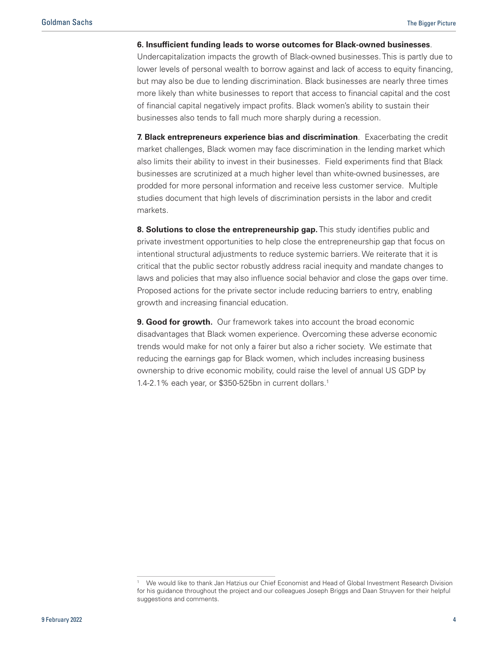#### **6. Insufficient funding leads to worse outcomes for Black-owned businesses**.

Undercapitalization impacts the growth of Black-owned businesses. This is partly due to lower levels of personal wealth to borrow against and lack of access to equity financing, but may also be due to lending discrimination. Black businesses are nearly three times more likely than white businesses to report that access to financial capital and the cost of financial capital negatively impact profits. Black women's ability to sustain their businesses also tends to fall much more sharply during a recession.

**7. Black entrepreneurs experience bias and discrimination**. Exacerbating the credit market challenges, Black women may face discrimination in the lending market which also limits their ability to invest in their businesses. Field experiments find that Black businesses are scrutinized at a much higher level than white-owned businesses, are prodded for more personal information and receive less customer service. Multiple studies document that high levels of discrimination persists in the labor and credit markets.

**8. Solutions to close the entrepreneurship gap.** This study identifies public and private investment opportunities to help close the entrepreneurship gap that focus on intentional structural adjustments to reduce systemic barriers. We reiterate that it is critical that the public sector robustly address racial inequity and mandate changes to laws and policies that may also influence social behavior and close the gaps over time. Proposed actions for the private sector include reducing barriers to entry, enabling growth and increasing financial education.

**9. Good for growth.** Our framework takes into account the broad economic disadvantages that Black women experience. Overcoming these adverse economic trends would make for not only a fairer but also a richer society. We estimate that reducing the earnings gap for Black women, which includes increasing business ownership to drive economic mobility, could raise the level of annual US GDP by 1.4-2.1% each year, or \$350-525bn in current dollars.1

We would like to thank Jan Hatzius our Chief Economist and Head of Global Investment Research Division for his guidance throughout the project and our colleagues Joseph Briggs and Daan Struyven for their helpful suggestions and comments.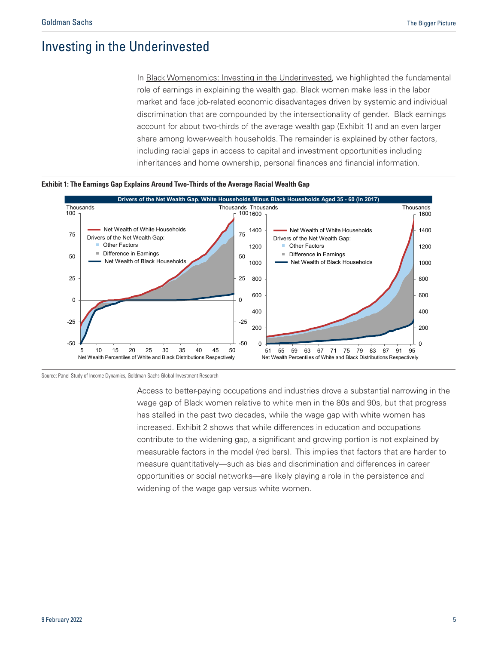# <span id="page-4-0"></span>Investing in the Underinvested

In [Black Womenomics: Investing in the Underinvested,](https://www.goldmansachs.com/insights/pages/black-womenomics-f/black-womenomics-report.pdf) we highlighted the fundamental role of earnings in explaining the wealth gap. Black women make less in the labor market and face job-related economic disadvantages driven by systemic and individual discrimination that are compounded by the intersectionality of gender. Black earnings account for about two-thirds of the average wealth gap (Exhibit 1) and an even larger share among lower-wealth households. The remainder is explained by other factors, including racial gaps in access to capital and investment opportunities including inheritances and home ownership, personal finances and financial information.





Source: Panel Study of Income Dynamics, Goldman Sachs Global Investment Research

Access to better-paying occupations and industries drove a substantial narrowing in the wage gap of Black women relative to white men in the 80s and 90s, but that progress has stalled in the past two decades, while the wage gap with white women has increased. Exhibit 2 shows that while differences in education and occupations contribute to the widening gap, a significant and growing portion is not explained by measurable factors in the model (red bars). This implies that factors that are harder to measure quantitatively—such as bias and discrimination and differences in career opportunities or social networks—are likely playing a role in the persistence and widening of the wage gap versus white women.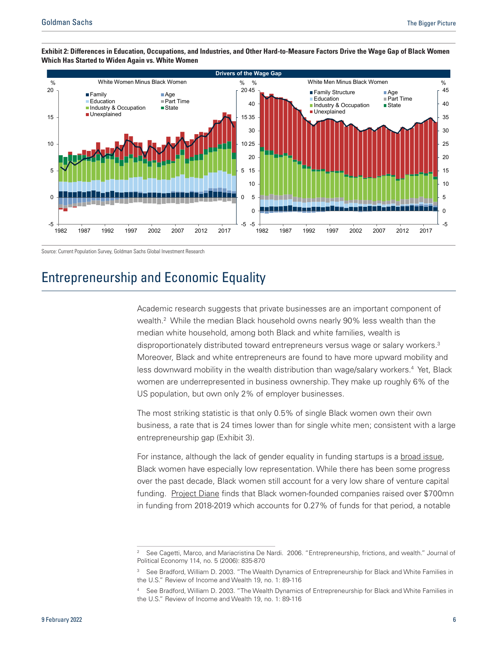

#### <span id="page-5-0"></span>**Exhibit 2: Differences in Education, Occupations, and Industries, and Other Hard-to-Measure Factors Drive the Wage Gap of Black Women Which Has Started to Widen Again vs. White Women**

Source: Current Population Survey, Goldman Sachs Global Investment Research

# Entrepreneurship and Economic Equality

Academic research suggests that private businesses are an important component of wealth.2 While the median Black household owns nearly 90% less wealth than the median white household, among both Black and white families, wealth is disproportionately distributed toward entrepreneurs versus wage or salary workers.3 Moreover, Black and white entrepreneurs are found to have more upward mobility and less downward mobility in the wealth distribution than wage/salary workers.<sup>4</sup> Yet, Black women are underrepresented in business ownership. They make up roughly 6% of the US population, but own only 2% of employer businesses.

The most striking statistic is that only 0.5% of single Black women own their own business, a rate that is 24 times lower than for single white men; consistent with a large entrepreneurship gap (Exhibit 3).

For instance, although the lack of gender equality in funding startups is a [broad issue,](https://wappp.hks.harvard.edu/venture-capital-and-entrepreneurship) Black women have especially low representation. While there has been some progress over the past decade, Black women still account for a very low share of venture capital funding. [Project Diane](https://www.projectdiane.com/) finds that Black women-founded companies raised over \$700mn in funding from 2018-2019 which accounts for 0.27% of funds for that period, a notable

<sup>2</sup> See Cagetti, Marco, and Mariacristina De Nardi. 2006. "Entrepreneurship, frictions, and wealth." Journal of Political Economy 114, no. 5 (2006): 835-870

See Bradford, William D. 2003. "The Wealth Dynamics of Entrepreneurship for Black and White Families in the U.S." Review of Income and Wealth 19, no. 1: 89-116

<sup>4</sup> See Bradford, William D. 2003. "The Wealth Dynamics of Entrepreneurship for Black and White Families in the U.S." Review of Income and Wealth 19, no. 1: 89-116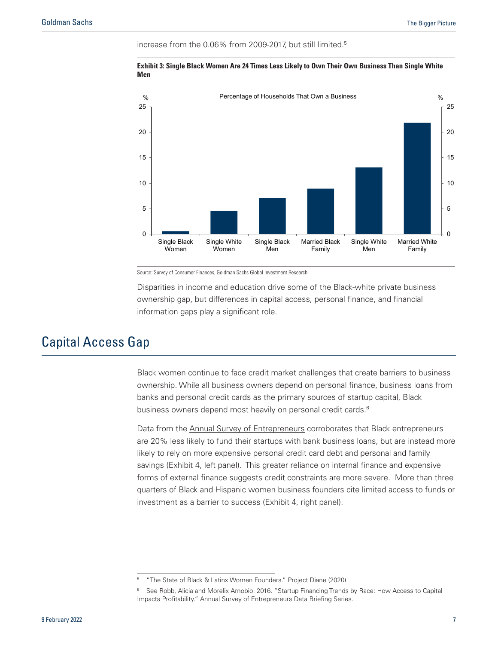<span id="page-6-0"></span>increase from the 0.06% from 2009-2017, but still limited.5



**Exhibit 3: Single Black Women Are 24 Times Less Likely to Own Their Own Business Than Single White Men**

Source: Survey of Consumer Finances, Goldman Sachs Global Investment Research

Disparities in income and education drive some of the Black-white private business ownership gap, but differences in capital access, personal finance, and financial information gaps play a significant role.

# Capital Access Gap

Black women continue to face credit market challenges that create barriers to business ownership. While all business owners depend on personal finance, business loans from banks and personal credit cards as the primary sources of startup capital, Black business owners depend most heavily on personal credit cards.<sup>6</sup>

Data from the [Annual Survey of Entrepreneurs](https://www.census.gov/programs-surveys/ase/about.html) corroborates that Black entrepreneurs are 20% less likely to fund their startups with bank business loans, but are instead more likely to rely on more expensive personal credit card debt and personal and family savings (Exhibit 4, left panel). This greater reliance on internal finance and expensive forms of external finance suggests credit constraints are more severe. More than three quarters of Black and Hispanic women business founders cite limited access to funds or investment as a barrier to success (Exhibit 4, right panel).

<sup>5</sup> "The State of Black & Latinx Women Founders." Project Diane (2020)

<sup>6</sup> See Robb, Alicia and Morelix Arnobio. 2016. "Startup Financing Trends by Race: How Access to Capital Impacts Profitability." Annual Survey of Entrepreneurs Data Briefing Series.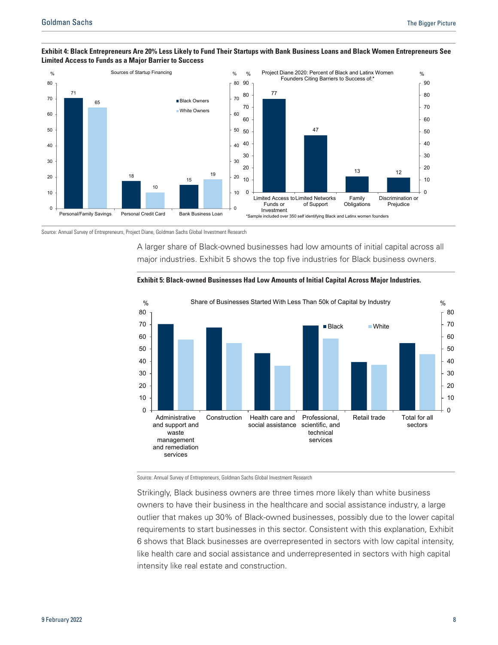

#### **Exhibit 4: Black Entrepreneurs Are 20% Less Likely to Fund Their Startups with Bank Business Loans and Black Women Entrepreneurs See Limited Access to Funds as a Major Barrier to Success**

Source: Annual Survey of Entrepreneurs, Project Diane, Goldman Sachs Global Investment Research

A larger share of Black-owned businesses had low amounts of initial capital across all major industries. Exhibit 5 shows the top five industries for Black business owners.





Source: Annual Survey of Entrepreneurs, Goldman Sachs Global Investment Research

Strikingly, Black business owners are three times more likely than white business owners to have their business in the healthcare and social assistance industry, a large outlier that makes up 30% of Black-owned businesses, possibly due to the lower capital requirements to start businesses in this sector. Consistent with this explanation, Exhibit 6 shows that Black businesses are overrepresented in sectors with low capital intensity, like health care and social assistance and underrepresented in sectors with high capital intensity like real estate and construction.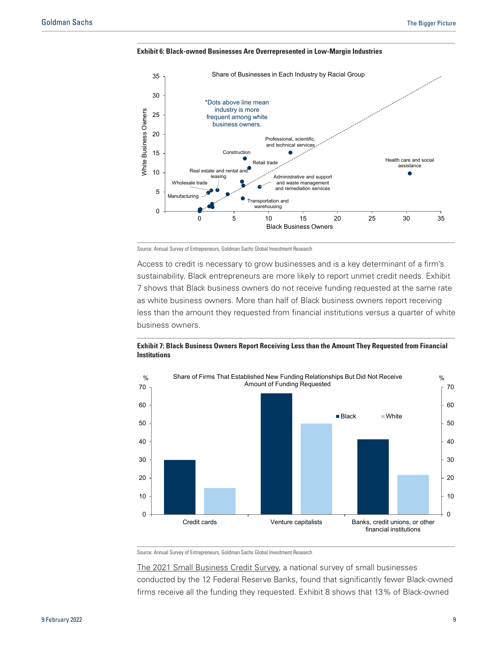

**Exhibit 6: Black-owned Businesses Are Overrepresented in Low-Margin Industries**

Source: Annual Survey of Entrepreneurs, Goldman Sachs Global Investment Research

Access to credit is necessary to grow businesses and is a key determinant of a firm's sustainability. Black entrepreneurs are more likely to report unmet credit needs. Exhibit 7 shows that Black business owners do not receive funding requested at the same rate as white business owners. More than half of Black business owners report receiving less than the amount they requested from financial institutions versus a quarter of white business owners.





Source: Annual Survey of Entrepreneurs, Goldman Sachs Global Investment Research

[The 2021 Small Business Credit Survey,](https://www.newyorkfed.org/medialibrary/FedSmallBusiness/files/2021/sbcs-report-on-firms-owned-by-people-of-color) a national survey of small businesses conducted by the 12 Federal Reserve Banks, found that significantly fewer Black-owned firms receive all the funding they requested. Exhibit 8 shows that 13% of Black-owned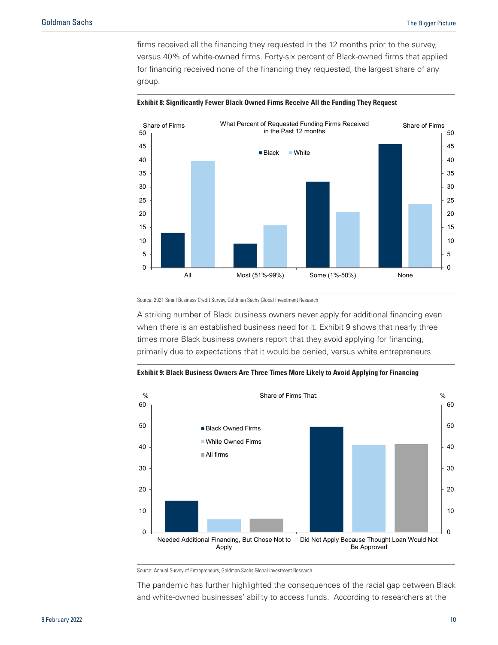firms received all the financing they requested in the 12 months prior to the survey, versus 40% of white-owned firms. Forty-six percent of Black-owned firms that applied for financing received none of the financing they requested, the largest share of any group.



#### **Exhibit 8: Significantly Fewer Black Owned Firms Receive All the Funding They Request**

Source: 2021 Small Business Credit Survey, Goldman Sachs Global Investment Research

A striking number of Black business owners never apply for additional financing even when there is an established business need for it. Exhibit 9 shows that nearly three times more Black business owners report that they avoid applying for financing, primarily due to expectations that it would be denied, versus white entrepreneurs.



**Exhibit 9: Black Business Owners Are Three Times More Likely to Avoid Applying for Financing** 

Source: Annual Survey of Entrepreneurs, Goldman Sachs Global Investment Research

The pandemic has further highlighted the consequences of the racial gap between Black and white-owned businesses' ability to access funds. [According](https://www.fedsmallbusiness.org/medialibrary/FedSmallBusiness/files/2020/DoubleJeopardy_COVID19andBlackOwnedBusinesses) to researchers at the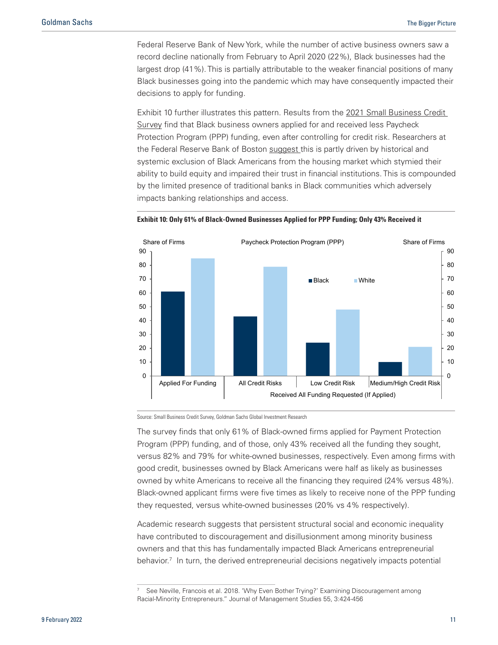Federal Reserve Bank of New York, while the number of active business owners saw a record decline nationally from February to April 2020 (22%), Black businesses had the largest drop (41%). This is partially attributable to the weaker financial positions of many Black businesses going into the pandemic which may have consequently impacted their decisions to apply for funding.

Exhibit 10 further illustrates this pattern. Results from the [2021 Small Business Credit](https://www.newyorkfed.org/medialibrary/FedSmallBusiness/files/2021/sbcs-report-on-firms-owned-by-people-of-color) [Survey](https://www.newyorkfed.org/medialibrary/FedSmallBusiness/files/2021/sbcs-report-on-firms-owned-by-people-of-color) find that Black business owners applied for and received less Paycheck Protection Program (PPP) funding, even after controlling for credit risk. Researchers at the Federal Reserve Bank of Boston [suggest t](https://www.bostonfed.org/news-and-events/news/2021/07/snapshot-of-black-small-business-owners-shows-worry-about-access-to-credit-during-pandemic.aspx)his is partly driven by historical and systemic exclusion of Black Americans from the housing market which stymied their ability to build equity and impaired their trust in financial institutions. This is compounded by the limited presence of traditional banks in Black communities which adversely impacts banking relationships and access.





Source: Small Business Credit Survey, Goldman Sachs Global Investment Research

The survey finds that only 61% of Black-owned firms applied for Payment Protection Program (PPP) funding, and of those, only 43% received all the funding they sought, versus 82% and 79% for white-owned businesses, respectively. Even among firms with good credit, businesses owned by Black Americans were half as likely as businesses owned by white Americans to receive all the financing they required (24% versus 48%). Black-owned applicant firms were five times as likely to receive none of the PPP funding they requested, versus white-owned businesses (20% vs 4% respectively).

Academic research suggests that persistent structural social and economic inequality have contributed to discouragement and disillusionment among minority business owners and that this has fundamentally impacted Black Americans entrepreneurial behavior.<sup>7</sup> In turn, the derived entrepreneurial decisions negatively impacts potential

See Neville, Francois et al. 2018. 'Why Even Bother Trying?' Examining Discouragement among Racial-Minority Entrepreneurs." Journal of Management Studies 55, 3:424-456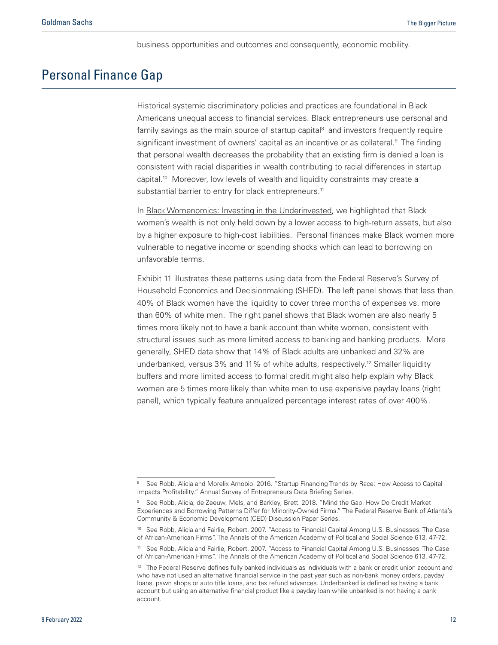business opportunities and outcomes and consequently, economic mobility.

# <span id="page-11-0"></span>Personal Finance Gap

Historical systemic discriminatory policies and practices are foundational in Black Americans unequal access to financial services. Black entrepreneurs use personal and family savings as the main source of startup capital $8$  and investors frequently require significant investment of owners' capital as an incentive or as collateral.<sup>9</sup> The finding that personal wealth decreases the probability that an existing firm is denied a loan is consistent with racial disparities in wealth contributing to racial differences in startup capital.<sup>10</sup> Moreover, low levels of wealth and liquidity constraints may create a substantial barrier to entry for black entrepreneurs.<sup>11</sup>

In [Black Womenomics: Investing in the Underinvested,](https://www.goldmansachs.com/insights/pages/black-womenomics-f/black-womenomics-report.pdf) we highlighted that Black women's wealth is not only held down by a lower access to high-return assets, but also by a higher exposure to high-cost liabilities. Personal finances make Black women more vulnerable to negative income or spending shocks which can lead to borrowing on unfavorable terms.

Exhibit 11 illustrates these patterns using data from the Federal Reserve's Survey of Household Economics and Decisionmaking (SHED). The left panel shows that less than 40% of Black women have the liquidity to cover three months of expenses vs. more than 60% of white men. The right panel shows that Black women are also nearly 5 times more likely not to have a bank account than white women, consistent with structural issues such as more limited access to banking and banking products. More generally, SHED data show that 14% of Black adults are unbanked and 32% are underbanked, versus 3% and 11% of white adults, respectively.<sup>12</sup> Smaller liquidity buffers and more limited access to formal credit might also help explain why Black women are 5 times more likely than white men to use expensive payday loans (right panel), which typically feature annualized percentage interest rates of over 400%.

<sup>8</sup> See Robb, Alicia and Morelix Arnobio. 2016. "Startup Financing Trends by Race: How Access to Capital Impacts Profitability." Annual Survey of Entrepreneurs Data Briefing Series.

<sup>9</sup> See Robb, Alicia, de Zeeuw, Mels, and Barkley, Brett. 2018. "Mind the Gap: How Do Credit Market Experiences and Borrowing Patterns Differ for Minority-Owned Firms." The Federal Reserve Bank of Atlanta's Community & Economic Development (CED) Discussion Paper Series.

<sup>10</sup> See Robb, Alicia and Fairlie, Robert. 2007. "Access to Financial Capital Among U.S. Businesses: The Case of African-American Firms". The Annals of the American Academy of Political and Social Science 613, 47-72.

<sup>11</sup> See Robb, Alicia and Fairlie, Robert. 2007. "Access to Financial Capital Among U.S. Businesses: The Case of African-American Firms". The Annals of the American Academy of Political and Social Science 613, 47-72.

<sup>&</sup>lt;sup>12</sup> The Federal Reserve defines fully banked individuals as individuals with a bank or credit union account and who have not used an alternative financial service in the past year such as non-bank money orders, payday loans, pawn shops or auto title loans, and tax refund advances. Underbanked is defined as having a bank account but using an alternative financial product like a payday loan while unbanked is not having a bank account.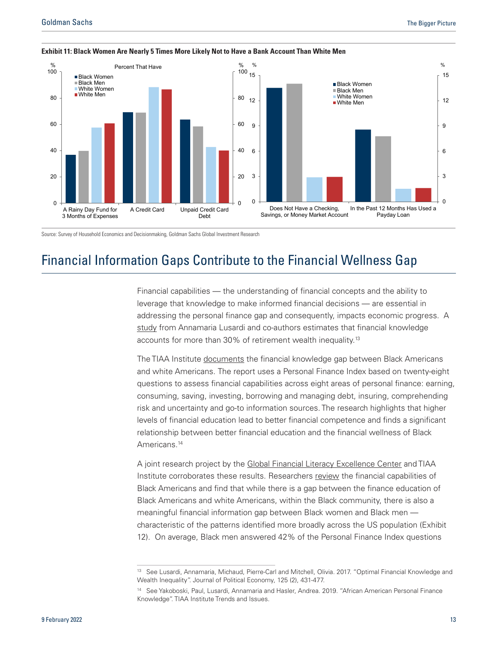

#### <span id="page-12-0"></span>**Exhibit 11: Black Women Are Nearly 5 Times More Likely Not to Have a Bank Account Than White Men**

Source: Survey of Household Economics and Decisionmaking, Goldman Sachs Global Investment Research

# Financial Information Gaps Contribute to the Financial Wellness Gap

Financial capabilities — the understanding of financial concepts and the ability to leverage that knowledge to make informed financial decisions — are essential in addressing the personal finance gap and consequently, impacts economic progress. A [study](https://repository.upenn.edu/cgi/viewcontent.cgi?article=1093&context=bepp_papers) from Annamaria Lusardi and co-authors estimates that financial knowledge accounts for more than 30% of retirement wealth inequality.<sup>13</sup>

The TIAA Institute [documents](https://gflec.org/wp-content/uploads/2020/07/ti_AAPFin_Nov2019_02_Trends-and-Issues.pdf?x20348) the financial knowledge gap between Black Americans and white Americans. The report uses a Personal Finance Index based on twenty-eight questions to assess financial capabilities across eight areas of personal finance: earning, consuming, saving, investing, borrowing and managing debt, insuring, comprehending risk and uncertainty and go-to information sources. The research highlights that higher levels of financial education lead to better financial competence and finds a significant relationship between better financial education and the financial wellness of Black Americans.<sup>14</sup>

A joint research project by the [Global Financial Literacy Excellence Center](https://gflec.org/initiatives/financial-literacy-and-wellness-among-african-americans/) and TIAA Institute corroborates these results. Researchers [review](https://gflec.org/wp-content/uploads/2020/10/TIAA_GFLEC_Report_AAPFinIndex_Sept2020_02.pdf?x20348) the financial capabilities of Black Americans and find that while there is a gap between the finance education of Black Americans and white Americans, within the Black community, there is also a meaningful financial information gap between Black women and Black men characteristic of the patterns identified more broadly across the US population (Exhibit 12). On average, Black men answered 42% of the Personal Finance Index questions

<sup>13</sup> See Lusardi, Annamaria, Michaud, Pierre-Carl and Mitchell, Olivia. 2017. "Optimal Financial Knowledge and Wealth Inequality". Journal of Political Economy, 125 (2), 431-477.

<sup>14</sup> See Yakoboski, Paul, Lusardi, Annamaria and Hasler, Andrea. 2019. "African American Personal Finance Knowledge". TIAA Institute Trends and Issues.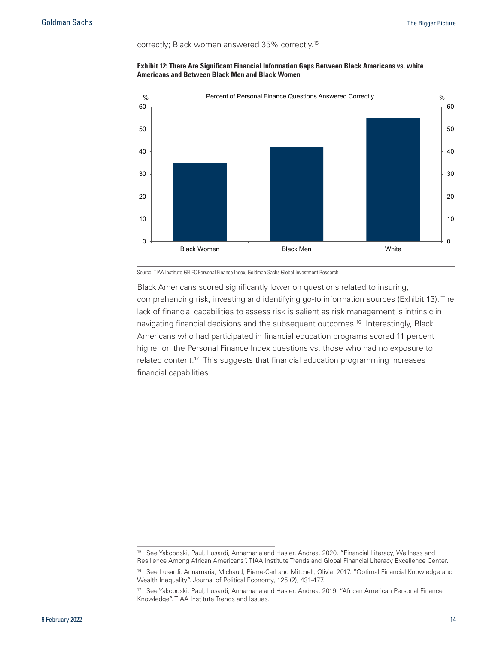correctly; Black women answered 35% correctly.15





Source: TIAA Institute-GFLEC Personal Finance Index, Goldman Sachs Global Investment Research

Black Americans scored significantly lower on questions related to insuring, comprehending risk, investing and identifying go-to information sources (Exhibit 13). The lack of financial capabilities to assess risk is salient as risk management is intrinsic in navigating financial decisions and the subsequent outcomes.<sup>16</sup> Interestingly, Black Americans who had participated in financial education programs scored 11 percent higher on the Personal Finance Index questions vs. those who had no exposure to related content.<sup>17</sup> This suggests that financial education programming increases financial capabilities.

<sup>15</sup> See Yakoboski, Paul, Lusardi, Annamaria and Hasler, Andrea. 2020. "Financial Literacy, Wellness and Resilience Among African Americans". TIAA Institute Trends and Global Financial Literacy Excellence Center.

<sup>16</sup> See Lusardi, Annamaria, Michaud, Pierre-Carl and Mitchell, Olivia. 2017. "Optimal Financial Knowledge and Wealth Inequality". Journal of Political Economy, 125 (2), 431-477.

<sup>&</sup>lt;sup>17</sup> See Yakoboski, Paul, Lusardi, Annamaria and Hasler, Andrea. 2019. "African American Personal Finance Knowledge". TIAA Institute Trends and Issues.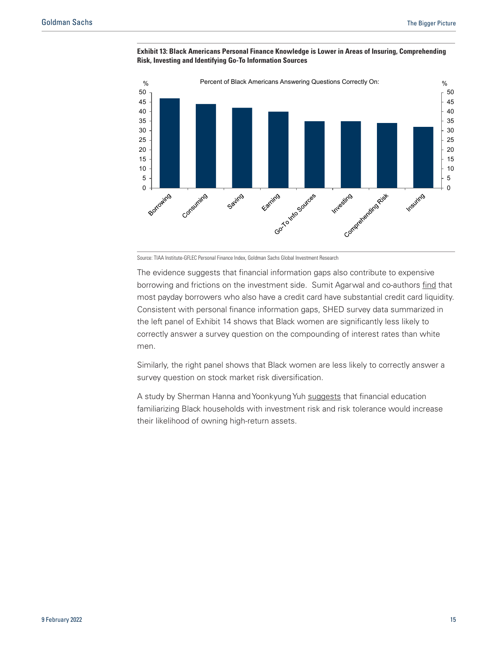

**Exhibit 13: Black Americans Personal Finance Knowledge is Lower in Areas of Insuring, Comprehending Risk, Investing and Identifying Go-To Information Sources**

Source: TIAA Institute-GFLEC Personal Finance Index, Goldman Sachs Global Investment Research

The evidence suggests that financial information gaps also contribute to expensive borrowing and frictions on the investment side. Sumit Agarwal and co-authors [find](https://www.nber.org/system/files/working_papers/w14659/w14659.pdf) that most payday borrowers who also have a credit card have substantial credit card liquidity. Consistent with personal finance information gaps, SHED survey data summarized in the left panel of Exhibit 14 shows that Black women are significantly less likely to correctly answer a survey question on the compounding of interest rates than white men.

Similarly, the right panel shows that Black women are less likely to correctly answer a survey question on stock market risk diversification.

A study by Sherman Hanna and Yoonkyung Yuh [suggests](https://www.researchgate.net/publication/228292921_RacialEthnic_Differences_in_High_Return_Investment_Ownership_A_Decomposition_Analysis) that financial education familiarizing Black households with investment risk and risk tolerance would increase their likelihood of owning high-return assets.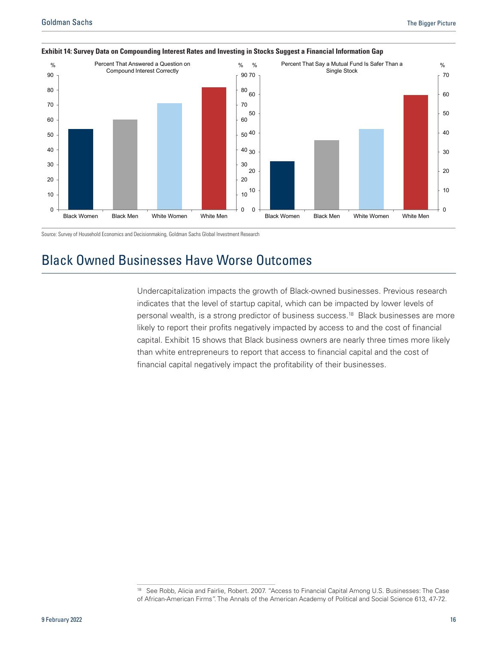

#### <span id="page-15-0"></span>**Exhibit 14: Survey Data on Compounding Interest Rates and Investing in Stocks Suggest a Financial Information Gap**

Source: Survey of Household Economics and Decisionmaking, Goldman Sachs Global Investment Research

# Black Owned Businesses Have Worse Outcomes

Undercapitalization impacts the growth of Black-owned businesses. Previous research indicates that the level of startup capital, which can be impacted by lower levels of personal wealth, is a strong predictor of business success.18 Black businesses are more likely to report their profits negatively impacted by access to and the cost of financial capital. Exhibit 15 shows that Black business owners are nearly three times more likely than white entrepreneurs to report that access to financial capital and the cost of financial capital negatively impact the profitability of their businesses.

<sup>&</sup>lt;sup>18</sup> See Robb, Alicia and Fairlie, Robert. 2007. "Access to Financial Capital Among U.S. Businesses: The Case of African-American Firms". The Annals of the American Academy of Political and Social Science 613, 47-72.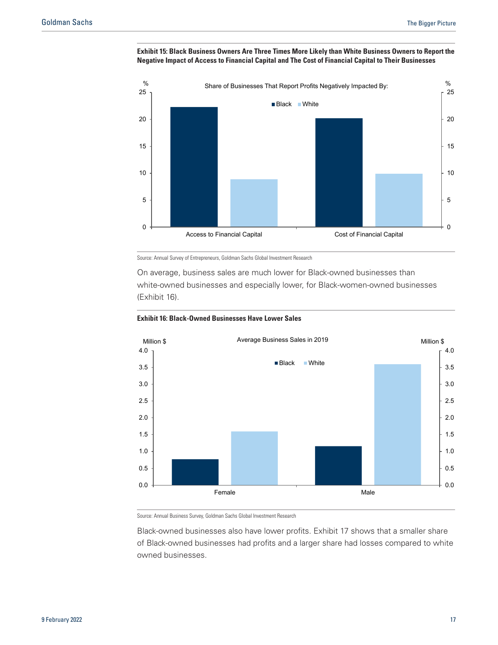



Source: Annual Survey of Entrepreneurs, Goldman Sachs Global Investment Research

On average, business sales are much lower for Black-owned businesses than white-owned businesses and especially lower, for Black-women-owned businesses (Exhibit 16).





Source: Annual Business Survey, Goldman Sachs Global Investment Research

Black-owned businesses also have lower profits. Exhibit 17 shows that a smaller share of Black-owned businesses had profits and a larger share had losses compared to white owned businesses.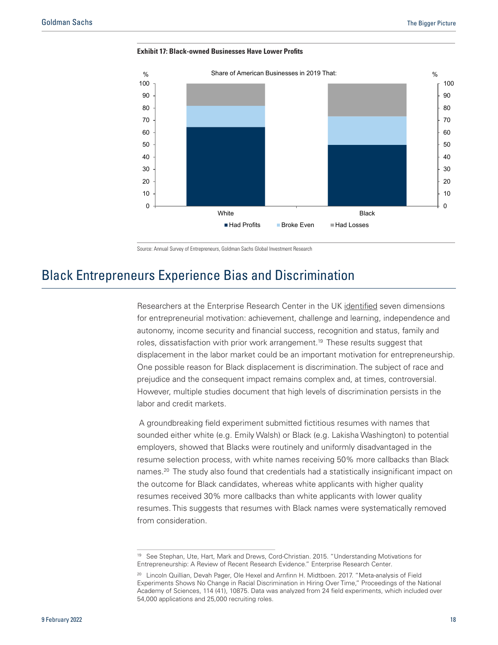<span id="page-17-0"></span>



Source: Annual Survey of Entrepreneurs, Goldman Sachs Global Investment Research

### Black Entrepreneurs Experience Bias and Discrimination

Researchers at the Enterprise Research Center in the UK [identified](http://publications.aston.ac.uk/id/eprint/25172/1/Understanding_motivations_for_entrepreneurship.pdf) seven dimensions for entrepreneurial motivation: achievement, challenge and learning, independence and autonomy, income security and financial success, recognition and status, family and roles, dissatisfaction with prior work arrangement.<sup>19</sup> These results suggest that displacement in the labor market could be an important motivation for entrepreneurship. One possible reason for Black displacement is discrimination. The subject of race and prejudice and the consequent impact remains complex and, at times, controversial. However, multiple studies document that high levels of discrimination persists in the labor and credit markets.

 A groundbreaking field experiment submitted fictitious resumes with names that sounded either white (e.g. Emily Walsh) or Black (e.g. Lakisha Washington) to potential employers, showed that Blacks were routinely and uniformly disadvantaged in the resume selection process, with white names receiving 50% more callbacks than Black names.20 The study also found that credentials had a statistically insignificant impact on the outcome for Black candidates, whereas white applicants with higher quality resumes received 30% more callbacks than white applicants with lower quality resumes. This suggests that resumes with Black names were systematically removed from consideration.

<sup>19</sup> See Stephan, Ute, Hart, Mark and Drews, Cord-Christian. 2015. "Understanding Motivations for Entrepreneurship: A Review of Recent Research Evidence." Enterprise Research Center.

<sup>&</sup>lt;sup>20</sup> Lincoln Quillian, Devah Pager, Ole Hexel and Arnfinn H. Midtboen. 2017. "Meta-analysis of Field Experiments Shows No Change in Racial Discrimination in Hiring Over Time," Proceedings of the National Academy of Sciences, 114 (41), 10875. Data was analyzed from 24 field experiments, which included over 54,000 applications and 25,000 recruiting roles.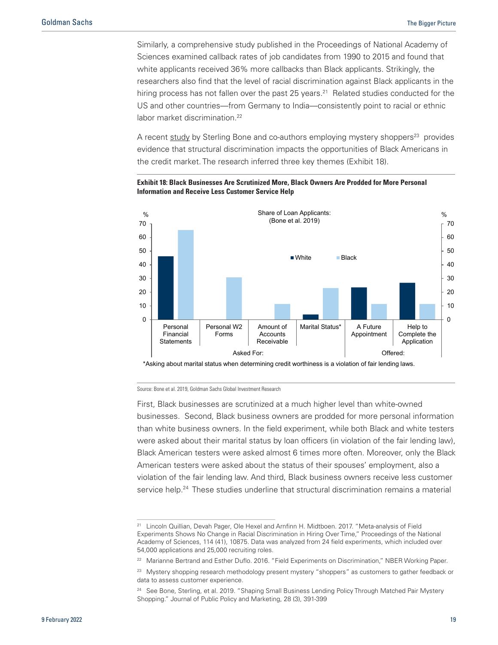Similarly, a comprehensive study published in the Proceedings of National Academy of Sciences examined callback rates of job candidates from 1990 to 2015 and found that white applicants received 36% more callbacks than Black applicants. Strikingly, the researchers also find that the level of racial discrimination against Black applicants in the hiring process has not fallen over the past 25 years.<sup>21</sup> Related studies conducted for the US and other countries—from Germany to India—consistently point to racial or ethnic labor market discrimination.<sup>22</sup>

A recent [study](https://journals.sagepub.com/doi/pdf/10.1177/0743915618820561) by Sterling Bone and co-authors employing mystery shoppers<sup>23</sup> provides evidence that structural discrimination impacts the opportunities of Black Americans in the credit market. The research inferred three key themes (Exhibit 18).



**Exhibit 18: Black Businesses Are Scrutinized More, Black Owners Are Prodded for More Personal Information and Receive Less Customer Service Help**

Source: Bone et al. 2019, Goldman Sachs Global Investment Research

First, Black businesses are scrutinized at a much higher level than white-owned businesses. Second, Black business owners are prodded for more personal information than white business owners. In the field experiment, while both Black and white testers were asked about their marital status by loan officers (in violation of the fair lending law), Black American testers were asked almost 6 times more often. Moreover, only the Black American testers were asked about the status of their spouses' employment, also a violation of the fair lending law. And third, Black business owners receive less customer service help.<sup>24</sup> These studies underline that structural discrimination remains a material

<sup>&</sup>lt;sup>21</sup> Lincoln Quillian, Devah Pager, Ole Hexel and Arnfinn H. Midtboen. 2017. "Meta-analysis of Field Experiments Shows No Change in Racial Discrimination in Hiring Over Time," Proceedings of the National Academy of Sciences, 114 (41), 10875. Data was analyzed from 24 field experiments, which included over 54,000 applications and 25,000 recruiting roles.

<sup>&</sup>lt;sup>22</sup> Marianne Bertrand and Esther Duflo. 2016. "Field Experiments on Discrimination," NBER Working Paper.

<sup>&</sup>lt;sup>23</sup> Mystery shopping research methodology present mystery "shoppers" as customers to gather feedback or data to assess customer experience.

<sup>&</sup>lt;sup>24</sup> See Bone, Sterling, et al. 2019. "Shaping Small Business Lending Policy Through Matched Pair Mystery Shopping." Journal of Public Policy and Marketing, 28 (3), 391-399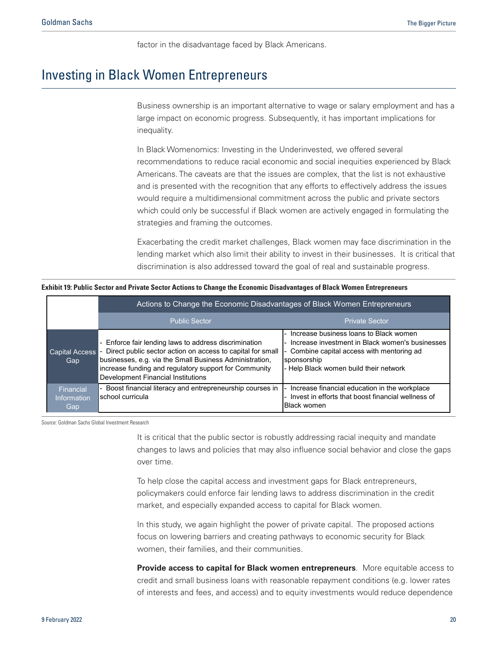factor in the disadvantage faced by Black Americans.

# <span id="page-19-0"></span>Investing in Black Women Entrepreneurs

Business ownership is an important alternative to wage or salary employment and has a large impact on economic progress. Subsequently, it has important implications for inequality.

In Black Womenomics: Investing in the Underinvested, we offered several recommendations to reduce racial economic and social inequities experienced by Black Americans. The caveats are that the issues are complex, that the list is not exhaustive and is presented with the recognition that any efforts to effectively address the issues would require a multidimensional commitment across the public and private sectors which could only be successful if Black women are actively engaged in formulating the strategies and framing the outcomes.

Exacerbating the credit market challenges, Black women may face discrimination in the lending market which also limit their ability to invest in their businesses. It is critical that discrimination is also addressed toward the goal of real and sustainable progress.

**Exhibit 19: Public Sector and Private Sector Actions to Change the Economic Disadvantages of Black Women Entrepreneurs**

|                                        | Actions to Change the Economic Disadvantages of Black Women Entrepreneurs                                                                                                                                                                                                   |                                                                                                                                                                                                |  |
|----------------------------------------|-----------------------------------------------------------------------------------------------------------------------------------------------------------------------------------------------------------------------------------------------------------------------------|------------------------------------------------------------------------------------------------------------------------------------------------------------------------------------------------|--|
|                                        | <b>Public Sector</b>                                                                                                                                                                                                                                                        | <b>Private Sector</b>                                                                                                                                                                          |  |
| <b>Capital Access</b><br>Gap           | Enforce fair lending laws to address discrimination<br>Direct public sector action on access to capital for small<br>businesses, e.g. via the Small Business Administration,<br>increase funding and regulatory support for Community<br>Development Financial Institutions | Increase business loans to Black women<br>Increase investment in Black women's businesses<br>Combine capital access with mentoring ad<br>sponsorship<br>- Help Black women build their network |  |
| Financial<br><b>Information</b><br>Gap | Boost financial literacy and entrepreneurship courses in<br>school curricula                                                                                                                                                                                                | Increase financial education in the workplace<br>Invest in efforts that boost financial wellness of<br><b>Black women</b>                                                                      |  |

Source: Goldman Sachs Global Investment Research

It is critical that the public sector is robustly addressing racial inequity and mandate changes to laws and policies that may also influence social behavior and close the gaps over time.

To help close the capital access and investment gaps for Black entrepreneurs, policymakers could enforce fair lending laws to address discrimination in the credit market, and especially expanded access to capital for Black women.

In this study, we again highlight the power of private capital. The proposed actions focus on lowering barriers and creating pathways to economic security for Black women, their families, and their communities.

**Provide access to capital for Black women entrepreneurs**. More equitable access to credit and small business loans with reasonable repayment conditions (e.g. lower rates of interests and fees, and access) and to equity investments would reduce dependence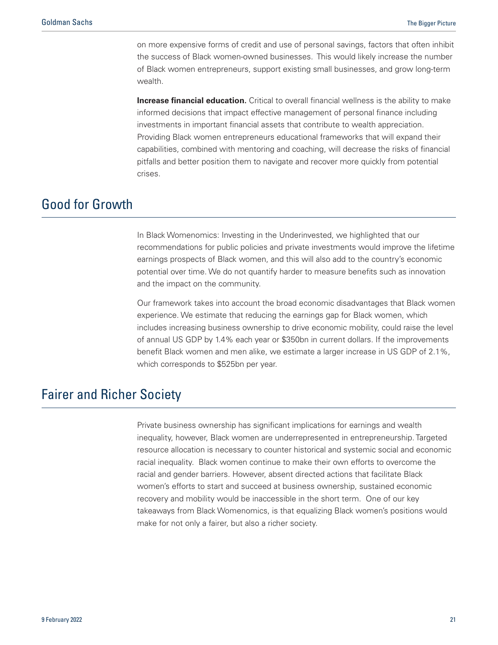<span id="page-20-0"></span>on more expensive forms of credit and use of personal savings, factors that often inhibit the success of Black women-owned businesses. This would likely increase the number of Black women entrepreneurs, support existing small businesses, and grow long-term wealth.

**Increase financial education.** Critical to overall financial wellness is the ability to make informed decisions that impact effective management of personal finance including investments in important financial assets that contribute to wealth appreciation. Providing Black women entrepreneurs educational frameworks that will expand their capabilities, combined with mentoring and coaching, will decrease the risks of financial pitfalls and better position them to navigate and recover more quickly from potential crises.

# Good for Growth

In Black Womenomics: Investing in the Underinvested, we highlighted that our recommendations for public policies and private investments would improve the lifetime earnings prospects of Black women, and this will also add to the country's economic potential over time. We do not quantify harder to measure benefits such as innovation and the impact on the community.

Our framework takes into account the broad economic disadvantages that Black women experience. We estimate that reducing the earnings gap for Black women, which includes increasing business ownership to drive economic mobility, could raise the level of annual US GDP by 1.4% each year or \$350bn in current dollars. If the improvements benefit Black women and men alike, we estimate a larger increase in US GDP of 2.1%, which corresponds to \$525bn per year.

# Fairer and Richer Society

Private business ownership has significant implications for earnings and wealth inequality, however, Black women are underrepresented in entrepreneurship. Targeted resource allocation is necessary to counter historical and systemic social and economic racial inequality. Black women continue to make their own efforts to overcome the racial and gender barriers. However, absent directed actions that facilitate Black women's efforts to start and succeed at business ownership, sustained economic recovery and mobility would be inaccessible in the short term. One of our key takeaways from Black Womenomics, is that equalizing Black women's positions would make for not only a fairer, but also a richer society.